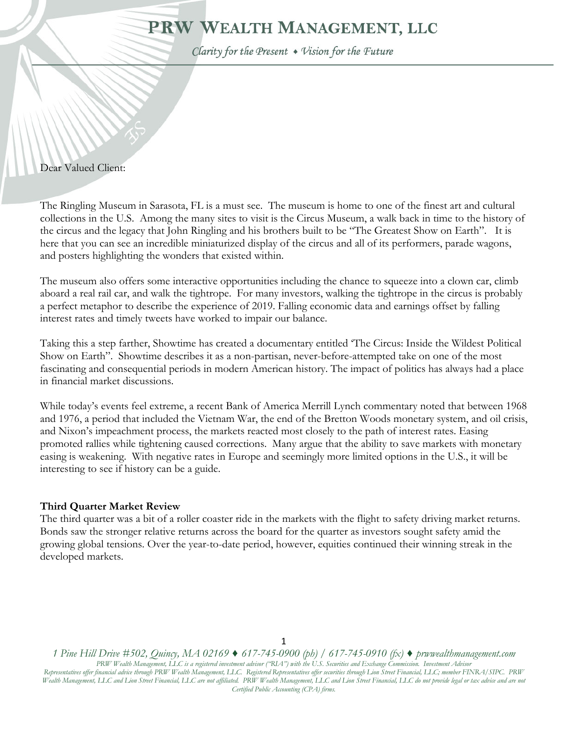# PRW WEALTH MANAGEMENT, LLC

Clarity for the Present . Vision for the Future

#### Dear Valued Client:

١

The Ringling Museum in Sarasota, FL is a must see. The museum is home to one of the finest art and cultural collections in the U.S. Among the many sites to visit is the Circus Museum, a walk back in time to the history of the circus and the legacy that John Ringling and his brothers built to be "The Greatest Show on Earth". It is here that you can see an incredible miniaturized display of the circus and all of its performers, parade wagons, and posters highlighting the wonders that existed within.

The museum also offers some interactive opportunities including the chance to squeeze into a clown car, climb aboard a real rail car, and walk the tightrope. For many investors, walking the tightrope in the circus is probably a perfect metaphor to describe the experience of 2019. Falling economic data and earnings offset by falling interest rates and timely tweets have worked to impair our balance.

Taking this a step farther, Showtime has created a documentary entitled 'The Circus: Inside the Wildest Political Show on Earth". Showtime describes it as a non-partisan, never-before-attempted take on one of the most fascinating and consequential periods in modern American history. The impact of politics has always had a place in financial market discussions.

While today's events feel extreme, a recent Bank of America Merrill Lynch commentary noted that between 1968 and 1976, a period that included the Vietnam War, the end of the Bretton Woods monetary system, and oil crisis, and Nixon's impeachment process, the markets reacted most closely to the path of interest rates. Easing promoted rallies while tightening caused corrections. Many argue that the ability to save markets with monetary easing is weakening. With negative rates in Europe and seemingly more limited options in the U.S., it will be interesting to see if history can be a guide.

#### **Third Quarter Market Review**

The third quarter was a bit of a roller coaster ride in the markets with the flight to safety driving market returns. Bonds saw the stronger relative returns across the board for the quarter as investors sought safety amid the growing global tensions. Over the year-to-date period, however, equities continued their winning streak in the developed markets.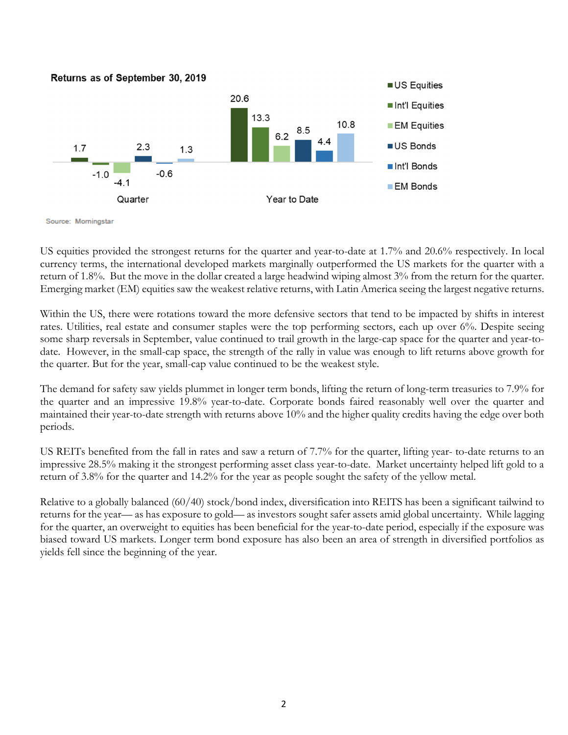

Source: Morningstar

US equities provided the strongest returns for the quarter and year-to-date at 1.7% and 20.6% respectively. In local currency terms, the international developed markets marginally outperformed the US markets for the quarter with a return of 1.8%. But the move in the dollar created a large headwind wiping almost 3% from the return for the quarter. Emerging market (EM) equities saw the weakest relative returns, with Latin America seeing the largest negative returns.

Within the US, there were rotations toward the more defensive sectors that tend to be impacted by shifts in interest rates. Utilities, real estate and consumer staples were the top performing sectors, each up over 6%. Despite seeing some sharp reversals in September, value continued to trail growth in the large-cap space for the quarter and year-todate. However, in the small-cap space, the strength of the rally in value was enough to lift returns above growth for the quarter. But for the year, small-cap value continued to be the weakest style.

The demand for safety saw yields plummet in longer term bonds, lifting the return of long-term treasuries to 7.9% for the quarter and an impressive 19.8% year-to-date. Corporate bonds faired reasonably well over the quarter and maintained their year-to-date strength with returns above 10% and the higher quality credits having the edge over both periods.

US REITs benefited from the fall in rates and saw a return of 7.7% for the quarter, lifting year- to-date returns to an impressive 28.5% making it the strongest performing asset class year-to-date. Market uncertainty helped lift gold to a return of 3.8% for the quarter and 14.2% for the year as people sought the safety of the yellow metal.

Relative to a globally balanced (60/40) stock/bond index, diversification into REITS has been a significant tailwind to returns for the year— as has exposure to gold— as investors sought safer assets amid global uncertainty. While lagging for the quarter, an overweight to equities has been beneficial for the year-to-date period, especially if the exposure was biased toward US markets. Longer term bond exposure has also been an area of strength in diversified portfolios as yields fell since the beginning of the year.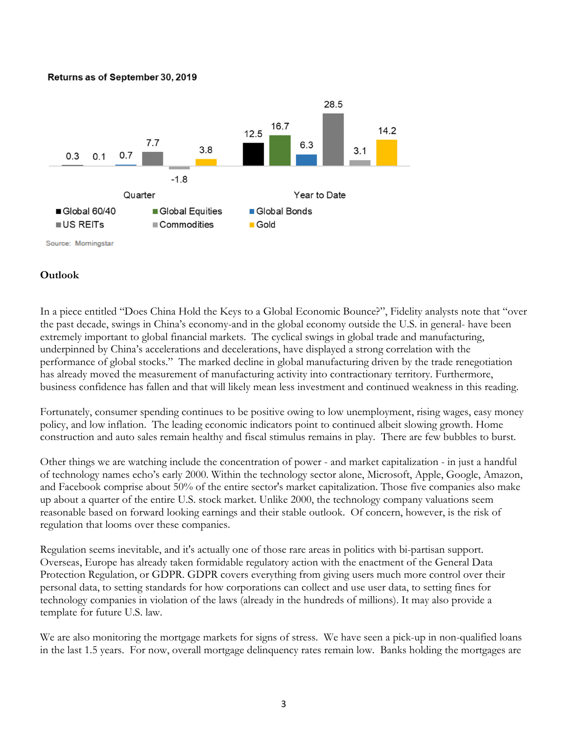#### Returns as of September 30, 2019



### **Outlook**

In a piece entitled "Does China Hold the Keys to a Global Economic Bounce?", Fidelity analysts note that "over the past decade, swings in China's economy-and in the global economy outside the U.S. in general- have been extremely important to global financial markets. The cyclical swings in global trade and manufacturing, underpinned by China's accelerations and decelerations, have displayed a strong correlation with the performance of global stocks." The marked decline in global manufacturing driven by the trade renegotiation has already moved the measurement of manufacturing activity into contractionary territory. Furthermore, business confidence has fallen and that will likely mean less investment and continued weakness in this reading.

Fortunately, consumer spending continues to be positive owing to low unemployment, rising wages, easy money policy, and low inflation. The leading economic indicators point to continued albeit slowing growth. Home construction and auto sales remain healthy and fiscal stimulus remains in play. There are few bubbles to burst.

Other things we are watching include the concentration of power - and market capitalization - in just a handful of technology names echo's early 2000. Within the technology sector alone, Microsoft, Apple, Google, Amazon, and Facebook comprise about 50% of the entire sector's market capitalization. Those five companies also make up about a quarter of the entire U.S. stock market. Unlike 2000, the technology company valuations seem reasonable based on forward looking earnings and their stable outlook. Of concern, however, is the risk of regulation that looms over these companies.

Regulation seems inevitable, and it's actually one of those rare areas in politics with bi-partisan support. Overseas, Europe has already taken formidable regulatory action with the enactment of the General Data Protection Regulation, or GDPR. GDPR covers everything from giving users much more control over their personal data, to setting standards for how corporations can collect and use user data, to setting fines for technology companies in violation of the laws (already in the hundreds of millions). It may also provide a template for future U.S. law.

We are also monitoring the mortgage markets for signs of stress. We have seen a pick-up in non-qualified loans in the last 1.5 years. For now, overall mortgage delinquency rates remain low. Banks holding the mortgages are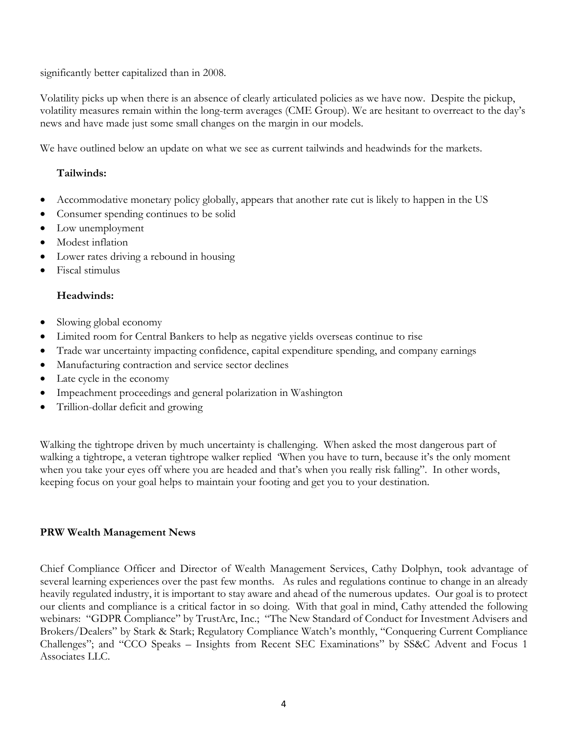significantly better capitalized than in 2008.

Volatility picks up when there is an absence of clearly articulated policies as we have now. Despite the pickup, volatility measures remain within the long-term averages (CME Group). We are hesitant to overreact to the day's news and have made just some small changes on the margin in our models.

We have outlined below an update on what we see as current tailwinds and headwinds for the markets.

# **Tailwinds:**

- Accommodative monetary policy globally, appears that another rate cut is likely to happen in the US
- Consumer spending continues to be solid
- Low unemployment
- Modest inflation
- Lower rates driving a rebound in housing
- Fiscal stimulus

# **Headwinds:**

- Slowing global economy
- Limited room for Central Bankers to help as negative yields overseas continue to rise
- Trade war uncertainty impacting confidence, capital expenditure spending, and company earnings
- Manufacturing contraction and service sector declines
- Late cycle in the economy
- Impeachment proceedings and general polarization in Washington
- Trillion-dollar deficit and growing

Walking the tightrope driven by much uncertainty is challenging. When asked the most dangerous part of walking a tightrope, a veteran tightrope walker replied 'When you have to turn, because it's the only moment when you take your eyes off where you are headed and that's when you really risk falling". In other words, keeping focus on your goal helps to maintain your footing and get you to your destination.

## **PRW Wealth Management News**

Chief Compliance Officer and Director of Wealth Management Services, Cathy Dolphyn, took advantage of several learning experiences over the past few months. As rules and regulations continue to change in an already heavily regulated industry, it is important to stay aware and ahead of the numerous updates. Our goal is to protect our clients and compliance is a critical factor in so doing. With that goal in mind, Cathy attended the following webinars: "GDPR Compliance" by TrustArc, Inc.; "The New Standard of Conduct for Investment Advisers and Brokers/Dealers" by Stark & Stark; Regulatory Compliance Watch's monthly, "Conquering Current Compliance Challenges"; and "CCO Speaks – Insights from Recent SEC Examinations" by SS&C Advent and Focus 1 Associates LLC.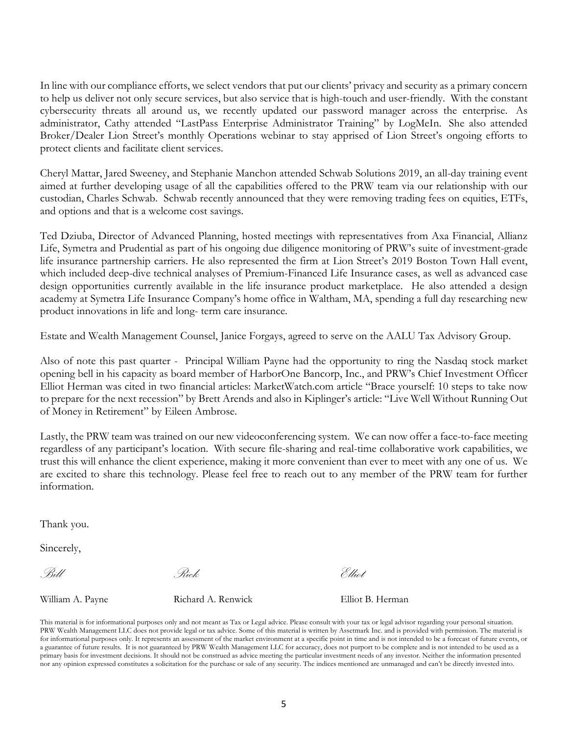In line with our compliance efforts, we select vendors that put our clients' privacy and security as a primary concern to help us deliver not only secure services, but also service that is high-touch and user-friendly. With the constant cybersecurity threats all around us, we recently updated our password manager across the enterprise. As administrator, Cathy attended "LastPass Enterprise Administrator Training" by LogMeIn. She also attended Broker/Dealer Lion Street's monthly Operations webinar to stay apprised of Lion Street's ongoing efforts to protect clients and facilitate client services.

Cheryl Mattar, Jared Sweeney, and Stephanie Manchon attended Schwab Solutions 2019, an all-day training event aimed at further developing usage of all the capabilities offered to the PRW team via our relationship with our custodian, Charles Schwab. Schwab recently announced that they were removing trading fees on equities, ETFs, and options and that is a welcome cost savings.

Ted Dziuba, Director of Advanced Planning, hosted meetings with representatives from Axa Financial, Allianz Life, Symetra and Prudential as part of his ongoing due diligence monitoring of PRW's suite of investment-grade life insurance partnership carriers. He also represented the firm at Lion Street's 2019 Boston Town Hall event, which included deep-dive technical analyses of Premium-Financed Life Insurance cases, as well as advanced case design opportunities currently available in the life insurance product marketplace. He also attended a design academy at Symetra Life Insurance Company's home office in Waltham, MA, spending a full day researching new product innovations in life and long- term care insurance.

Estate and Wealth Management Counsel, Janice Forgays, agreed to serve on the AALU Tax Advisory Group.

Also of note this past quarter - Principal William Payne had the opportunity to ring the Nasdaq stock market opening bell in his capacity as board member of HarborOne Bancorp, Inc., and PRW's Chief Investment Officer Elliot Herman was cited in two financial articles: MarketWatch.com article "Brace yourself: 10 steps to take now to prepare for the next recession" by Brett Arends and also in Kiplinger's article: "Live Well Without Running Out of Money in Retirement" by Eileen Ambrose.

Lastly, the PRW team was trained on our new videoconferencing system. We can now offer a face-to-face meeting regardless of any participant's location. With secure file-sharing and real-time collaborative work capabilities, we trust this will enhance the client experience, making it more convenient than ever to meet with any one of us. We are excited to share this technology. Please feel free to reach out to any member of the PRW team for further information.

Thank you.

Sincerely,

*Bill Rick Elliot* 

William A. Payne **Richard A. Renwick** Elliot B. Herman

This material is for informational purposes only and not meant as Tax or Legal advice. Please consult with your tax or legal advisor regarding your personal situation. PRW Wealth Management LLC does not provide legal or tax advice. Some of this material is written by Assetmark Inc. and is provided with permission. The material is for informational purposes only. It represents an assessment of the market environment at a specific point in time and is not intended to be a forecast of future events, or a guarantee of future results. It is not guaranteed by PRW Wealth Management LLC for accuracy, does not purport to be complete and is not intended to be used as a primary basis for investment decisions. It should not be construed as advice meeting the particular investment needs of any investor. Neither the information presented nor any opinion expressed constitutes a solicitation for the purchase or sale of any security. The indices mentioned are unmanaged and can't be directly invested into.